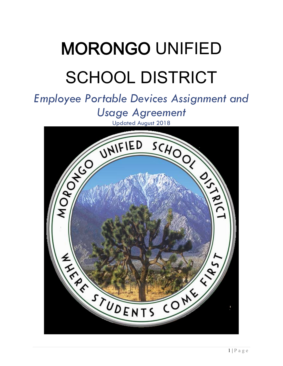# MORONGO UNIFIED SCHOOL DISTRICT

## *Employee Portable Devices Assignment and*

*Usage Agreement*

Updated August 2018

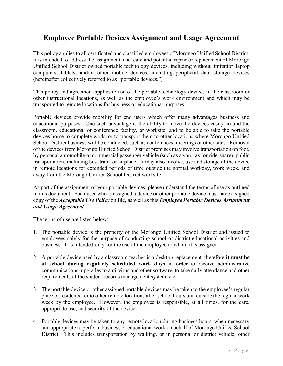### **Employee Portable Devices Assignment and Usage Agreement**

This policy applies to all certificated and classified employees of Morongo Unified School District. It is intended to address the assignment, use, care and potential repair or replacement of Morongo Unified School District owned portable technology devices, including without limitation laptop computers, tablets, and/or other mobile devices, including peripheral data storage devices (hereinafter collectively referred to as "portable devices.")

This policy and agreement applies to use of the portable technology devices in the classroom or other instructional locations, as well as the employee's work environment and which may be transported to remote locations for business or educational purposes.

Portable devices provide mobility for end users which offer many advantages business and educational purposes. One such advantage is the ability to move the devices easily around the classroom, educational or conference facility, or worksite. and to be able to take the portable devices home to complete work, or to transport them to other locations where Morongo Unified School District business will be conducted, such as conferences, meetings or other sites. Removal of the devices from Morongo Unified School District premises may involve transportation on foot, by personal automobile or commercial passenger vehicle (such as a van, taxi or ride-share), public transportation, including bus, train, or airplane. It may also involve, use and storage of the device in remote locations for extended periods of time outside the normal workday, work week, and away from the Morongo Unified School District worksite.

As part of the assignment of your portable devices, please understand the terms of use as outlined in this document. Each user who is assigned a device or other portable device must have a signed copy of the *Acceptable Use Policy* on file, as well as this *Employee Portable Devices Assignment and Usage Agreement.*

The terms of use are listed below:

- 1. The portable device is the property of the Morongo Unified School District and issued to employees solely for the purpose of conducting school or district educational activities and business. It is intended only for the use of the employee to whom it is assigned.
- 2. A portable device used by a classroom teacher is a desktop replacement, therefore **it must be at school during regularly scheduled work days** in order to receive administrative communications, upgrades to anti-virus and other software, to take daily attendance and other requirements of the student records management system, etc.
- 3. The portable device or other assigned portable devices may be taken to the employee's regular place or residence, or to other remote locations after school hours and outside the regular work week by the employee. However, the employee is responsible, at all times, for the care, appropriate use, and security of the device.
- 4. Portable devices may be taken to any remote location during business hours, when necessary and appropriate to perform business or educational work on behalf of Morongo Unified School District. This includes transportation by walking, or in personal or district vehicle, other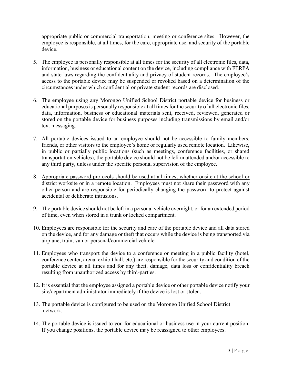appropriate public or commercial transportation, meeting or conference sites. However, the employee is responsible, at all times, for the care, appropriate use, and security of the portable device.

- 5. The employee is personally responsible at all times for the security of all electronic files, data, information, business or educational content on the device, including compliance with FERPA and state laws regarding the confidentiality and privacy of student records. The employee's access to the portable device may be suspended or revoked based on a determination of the circumstances under which confidential or private student records are disclosed.
- 6. The employee using any Morongo Unified School District portable device for business or educational purposes is personally responsible at all times for the security of all electronic files, data, information, business or educational materials sent, received, reviewed, generated or stored on the portable device for business purposes including transmissions by email and/or text messaging.
- 7. All portable devices issued to an employee should not be accessible to family members, friends, or other visitors to the employee's home or regularly used remote location. Likewise, in public or partially public locations (such as meetings, conference facilities, or shared transportation vehicles), the portable device should not be left unattended and/or accessible to any third party, unless under the specific personal supervision of the employee.
- 8. Appropriate password protocols should be used at all times, whether onsite at the school or district worksite or in a remote location. Employees must not share their password with any other person and are responsible for periodically changing the password to protect against accidental or deliberate intrusions.
- 9. The portable device should not be left in a personal vehicle overnight, or for an extended period of time, even when stored in a trunk or locked compartment.
- 10. Employees are responsible for the security and care of the portable device and all data stored on the device, and for any damage or theft that occurs while the device is being transported via airplane, train, van or personal/commercial vehicle.
- 11. Employees who transport the device to a conference or meeting in a public facility (hotel, conference center, arena, exhibit hall, etc.) are responsible for the security and condition of the portable device at all times and for any theft, damage, data loss or confidentiality breach resulting from unauthorized access by third-parties.
- 12. It is essential that the employee assigned a portable device or other portable device notify your site/department administrator immediately if the device is lost or stolen.
- 13. The portable device is configured to be used on the Morongo Unified School District network.
- 14. The portable device is issued to you for educational or business use in your current position. If you change positions, the portable device may be reassigned to other employees.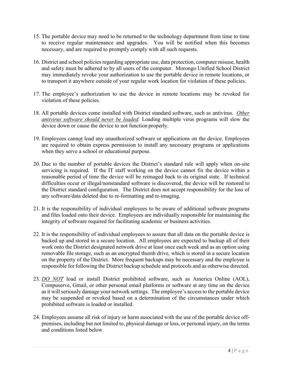- 15. The portable device may need to be returned to the technology department from time to time to receive regular maintenance and upgrades. You will be notified when this becomes necessary, and are required to promptly comply with all such requests.
- 16. District and school policies regarding appropriate use, data protection, computer misuse, health and safety must be adhered to by all users of the computer. Morongo Unified School District may immediately revoke your authorization to use the portable device in remote locations, or to transport it anywhere outside of your regular work location for violation of these policies.
- 17. The employee's authorization to use the device in remote locations may be revoked for violation of these policies.
- 18. All portable devices come installed with District standard software, such as antivirus. *Other antivirus software should never be loaded.* Loading multiple virus programs will slow the device down or cause the device to not function properly.
- 19. Employees cannot load any unauthorized software or applications on the device. Employees are required to obtain express permission to install any necessary programs or applications when they serve a school or educational purpose.
- 20. Due to the number of portable devices the District's standard rule will apply when on-site servicing is required. If the IT staff working on the device cannot fix the device within a reasonable period of time the device will be reimaged back to its original state. If technical difficulties occur or illegal/nonstandard software is discovered, the device will be restored to the District standard configuration. The District does not accept responsibility for the loss of any software/data deleted due to re-formatting and re-imaging.
- 21. It is the responsibility of individual employees to be aware of additional software programs and files loaded onto their device. Employees are individually responsible for maintaining the integrity of software required for facilitating academic or business activities.
- 22. It is the responsibility of individual employees to assure that all data on the portable device is backed up and stored in a secure location. All employees are expected to backup all of their work onto the District designated network drive at least once each week and as an option using removable file storage, such as an encrypted thumb drive, which is stored in a secure location on the property of the District. More frequent backups may be necessary and the employee is responsible for following the District backup schedule and protocols and as otherwise directed.
- 23. *DO NOT* load or install District prohibited software, such as America Online (AOL), Compuserve, Gmail, or other personal email platforms or software at any time on the device as it will seriously damage your network settings. The employee's access to the portable device may be suspended or revoked based on a determination of the circumstances under which prohibited software is loaded or installed.
- 24. Employees assume all risk of injury or harm associated with the use of the portable device offpremises, including but not limited to, physical damage or loss, or personal injury, on the terms and conditions listed below.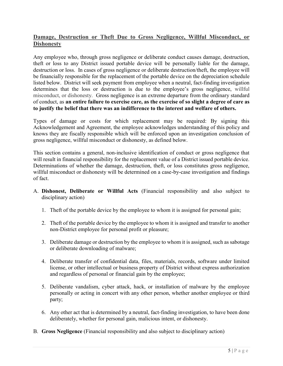#### **Damage, Destruction or Theft Due to Gross Negligence, Willful Misconduct, or Dishonesty**

Any employee who, through gross negligence or deliberate conduct causes damage, destruction, theft or loss to any District issued portable device will be personally liable for the damage, destruction or loss. In cases of gross negligence or deliberate destruction/theft, the employee will be financially responsible for the replacement of the portable device on the depreciation schedule listed below. District will seek payment from employee when a neutral, fact-finding investigation determines that the loss or destruction is due to the employee's gross negligence, willful misconduct, or dishonesty. Gross negligence is an extreme departure from the ordinary standard of conduct, as **an entire failure to exercise care, as the exercise of so slight a degree of care as to justify the belief that there was an indifference to the interest and welfare of others.**

Types of damage or costs for which replacement may be required: By signing this Acknowledgement and Agreement, the employee acknowledges understanding of this policy and knows they are fiscally responsible which will be enforced upon an investigation conclusion of gross negligence, willful misconduct or dishonesty, as defined below.

This section contains a general, non-inclusive identification of conduct or gross negligence that will result in financial responsibility for the replacement value of a District issued portable device. Determinations of whether the damage, destruction, theft, or loss constitutes gross negligence, willful misconduct or dishonesty will be determined on a case-by-case investigation and findings of fact.

- A. **Dishonest, Deliberate or Willful Acts** (Financial responsibility and also subject to disciplinary action)
	- 1. Theft of the portable device by the employee to whom it is assigned for personal gain;
	- 2. Theft of the portable device by the employee to whom it is assigned and transfer to another non-District employee for personal profit or pleasure;
	- 3. Deliberate damage or destruction by the employee to whom it is assigned, such as sabotage or deliberate downloading of malware;
	- 4. Deliberate transfer of confidential data, files, materials, records, software under limited license, or other intellectual or business property of District without express authorization and regardless of personal or financial gain by the employee;
	- 5. Deliberate vandalism, cyber attack, hack, or installation of malware by the employee personally or acting in concert with any other person, whether another employee or third party;
	- 6. Any other act that is determined by a neutral, fact-finding investigation, to have been done deliberately, whether for personal gain, malicious intent, or dishonesty.
- B. **Gross Negligence** (Financial responsibility and also subject to disciplinary action)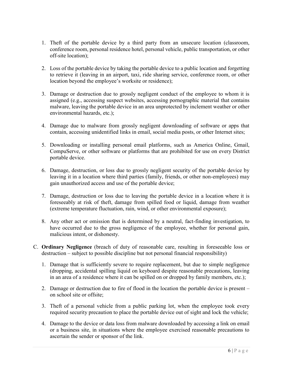- 1. Theft of the portable device by a third party from an unsecure location (classroom, conference room, personal residence hotel, personal vehicle, public transportation, or other off-site location);
- 2. Loss of the portable device by taking the portable device to a public location and forgetting to retrieve it (leaving in an airport, taxi, ride sharing service, conference room, or other location beyond the employee's worksite or residence);
- 3. Damage or destruction due to grossly negligent conduct of the employee to whom it is assigned (e.g., accessing suspect websites, accessing pornographic material that contains malware, leaving the portable device in an area unprotected by inclement weather or other environmental hazards, etc.);
- 4. Damage due to malware from grossly negligent downloading of software or apps that contain, accessing unidentified links in email, social media posts, or other Internet sites;
- 5. Downloading or installing personal email platforms, such as America Online, Gmail, CompuServe, or other software or platforms that are prohibited for use on every District portable device.
- 6. Damage, destruction, or loss due to grossly negligent security of the portable device by leaving it in a location where third parties (family, friends, or other non-employees) may gain unauthorized access and use of the portable device;
- 7. Damage, destruction or loss due to leaving the portable device in a location where it is foreseeably at risk of theft, damage from spilled food or liquid, damage from weather (extreme temperature fluctuation, rain, wind, or other environmental exposure);
- 8. Any other act or omission that is determined by a neutral, fact-finding investigation, to have occurred due to the gross negligence of the employee, whether for personal gain, malicious intent, or dishonesty.
- C. **Ordinary Negligence** (breach of duty of reasonable care, resulting in foreseeable loss or destruction – subject to possible discipline but not personal financial responsibility)
	- 1. Damage that is sufficiently severe to require replacement, but due to simple negligence (dropping, accidental spilling liquid on keyboard despite reasonable precautions, leaving in an area of a residence where it can be spilled on or dropped by family members, etc.);
	- 2. Damage or destruction due to fire of flood in the location the portable device is present on school site or offsite;
	- 3. Theft of a personal vehicle from a public parking lot, when the employee took every required security precaution to place the portable device out of sight and lock the vehicle;
	- 4. Damage to the device or data loss from malware downloaded by accessing a link on email or a business site, in situations where the employee exercised reasonable precautions to ascertain the sender or sponsor of the link.